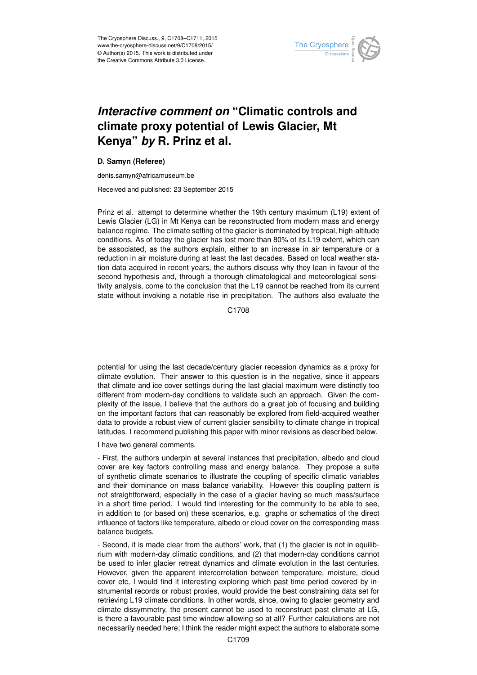

## *Interactive comment on* **"Climatic controls and climate proxy potential of Lewis Glacier, Mt Kenya"** *by* **R. Prinz et al.**

## **D. Samyn (Referee)**

denis.samyn@africamuseum.be

Received and published: 23 September 2015

Prinz et al. attempt to determine whether the 19th century maximum (L19) extent of Lewis Glacier (LG) in Mt Kenya can be reconstructed from modern mass and energy balance regime. The climate setting of the glacier is dominated by tropical, high-altitude conditions. As of today the glacier has lost more than 80% of its L19 extent, which can be associated, as the authors explain, either to an increase in air temperature or a reduction in air moisture during at least the last decades. Based on local weather station data acquired in recent years, the authors discuss why they lean in favour of the second hypothesis and, through a thorough climatological and meteorological sensitivity analysis, come to the conclusion that the L19 cannot be reached from its current state without invoking a notable rise in precipitation. The authors also evaluate the

C1708

potential for using the last decade/century glacier recession dynamics as a proxy for climate evolution. Their answer to this question is in the negative, since it appears that climate and ice cover settings during the last glacial maximum were distinctly too different from modern-day conditions to validate such an approach. Given the complexity of the issue, I believe that the authors do a great job of focusing and building on the important factors that can reasonably be explored from field-acquired weather data to provide a robust view of current glacier sensibility to climate change in tropical latitudes. I recommend publishing this paper with minor revisions as described below.

I have two general comments.

- First, the authors underpin at several instances that precipitation, albedo and cloud cover are key factors controlling mass and energy balance. They propose a suite of synthetic climate scenarios to illustrate the coupling of specific climatic variables and their dominance on mass balance variability. However this coupling pattern is not straightforward, especially in the case of a glacier having so much mass/surface in a short time period. I would find interesting for the community to be able to see, in addition to (or based on) these scenarios, e.g. graphs or schematics of the direct influence of factors like temperature, albedo or cloud cover on the corresponding mass balance budgets.

- Second, it is made clear from the authors' work, that (1) the glacier is not in equilibrium with modern-day climatic conditions, and (2) that modern-day conditions cannot be used to infer glacier retreat dynamics and climate evolution in the last centuries. However, given the apparent intercorrelation between temperature, moisture, cloud cover etc, I would find it interesting exploring which past time period covered by instrumental records or robust proxies, would provide the best constraining data set for retrieving L19 climate conditions. In other words, since, owing to glacier geometry and climate dissymmetry, the present cannot be used to reconstruct past climate at LG, is there a favourable past time window allowing so at all? Further calculations are not necessarily needed here; I think the reader might expect the authors to elaborate some